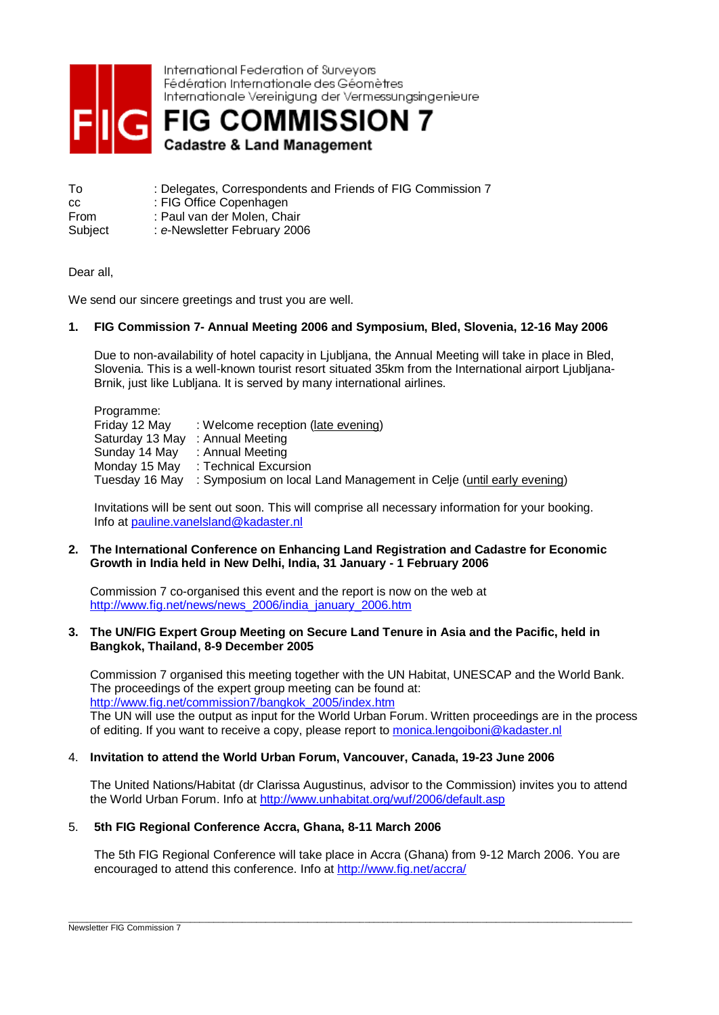

International Federation of Surveyors Fédération Internationale des Géomètres Internationale Vereinigung der Vermessungsingenieure

**FIG COMMISSION 7 Cadastre & Land Management** 

- To : Delegates, Correspondents and Friends of FIG Commission 7 cc : FIG Office Copenhagen
- From : Paul van der Molen, Chair

Subject : *e*-Newsletter February 2006

Dear all,

We send our sincere greetings and trust you are well.

## **1. FIG Commission 7- Annual Meeting 2006 and Symposium, Bled, Slovenia, 12-16 May 2006**

Due to non-availability of hotel capacity in Ljubljana, the Annual Meeting will take in place in Bled, Slovenia. This is a well-known tourist resort situated 35km from the International airport Ljubljana-Brnik, just like Lubljana. It is served by many international airlines.

Programme:<br>Friday 12 May : Welcome reception (late evening) Saturday 13 May : Annual Meeting Sunday 14 May : Annual Meeting Monday 15 May : Technical Excursion Tuesday 16 May : Symposium on local Land Management in Celje (until early evening)

Invitations will be sent out soon. This will comprise all necessary information for your booking. Info at [pauline.vanelsland@kadaster.nl](mailto:pauline.vanelsland@kadaster.nl)

#### **2. The International Conference on Enhancing Land Registration and Cadastre for Economic Growth in India held in New Delhi, India, 31 January - 1 February 2006**

Commission 7 co-organised this event and the report is now on the web at [http://www.fig.net/news/news\\_2006/india\\_january\\_2006.htm](http://www.fig.net/news/news_2006/india_january_2006.htm)

#### **3. The UN/FIG Expert Group Meeting on Secure Land Tenure in Asia and the Pacific, held in Bangkok, Thailand, 8-9 December 2005**

Commission 7 organised this meeting together with the UN Habitat, UNESCAP and the World Bank. The proceedings of the expert group meeting can be found at: [http://www.fig.net/commission7/bangkok\\_2005/index.htm](http://www.fig.net/commission7/bangkok_2005/index.htm) The UN will use the output as input for the World Urban Forum. Written proceedings are in the process of editing. If you want to receive a copy, please report to [monica.lengoiboni@kadaster.nl](mailto:monica.lengoiboni@kadaster.nl)

#### 4. **Invitation to attend the World Urban Forum, Vancouver, Canada, 19-23 June 2006**

The United Nations/Habitat (dr Clarissa Augustinus, advisor to the Commission) invites you to attend the World Urban Forum. Info at <http://www.unhabitat.org/wuf/2006/default.asp>

# 5. **5th FIG Regional Conference Accra, Ghana, 8-11 March 2006**

The 5th FIG Regional Conference will take place in Accra (Ghana) from 9-12 March 2006. You are encouraged to attend this conference. Info at<http://www.fig.net/accra/>

\_\_\_\_\_\_\_\_\_\_\_\_\_\_\_\_\_\_\_\_\_\_\_\_\_\_\_\_\_\_\_\_\_\_\_\_\_\_\_\_\_\_\_\_\_\_\_\_\_\_\_\_\_\_\_\_\_\_\_\_\_\_\_\_\_\_\_\_\_\_\_\_\_\_\_\_\_\_\_\_\_\_\_\_\_\_\_\_\_\_\_\_\_\_\_\_\_\_\_\_\_\_\_\_\_\_\_\_\_\_\_\_\_\_\_\_\_\_\_\_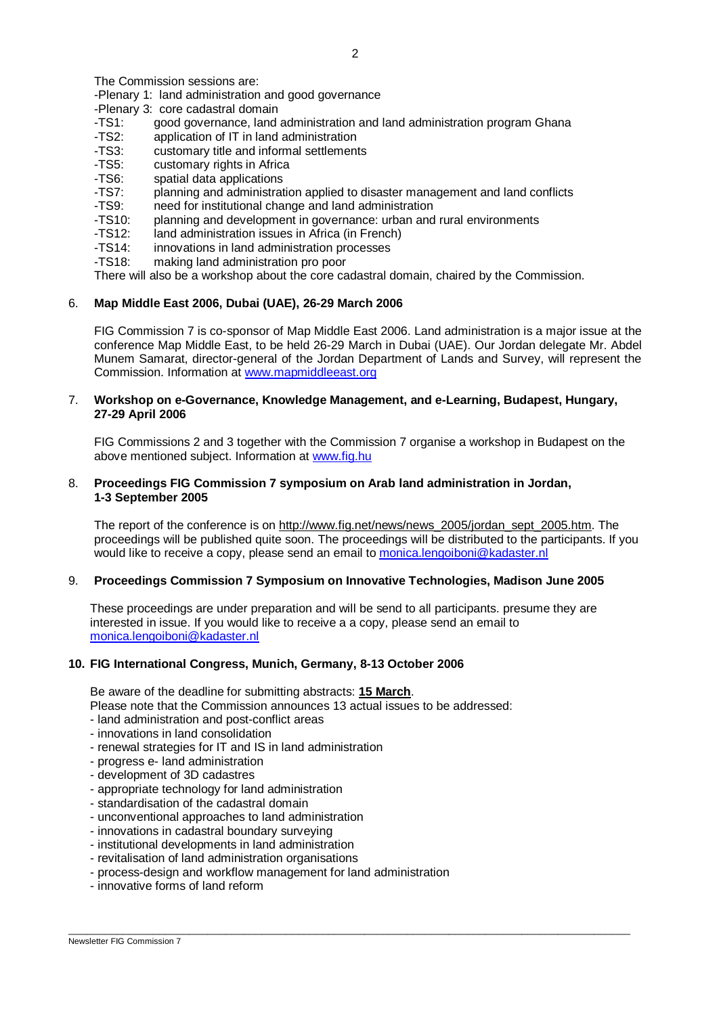The Commission sessions are:

-Plenary 1: land administration and good governance

-Plenary 3: core cadastral domain

- -TS1: good governance, land administration and land administration program Ghana<br>-TS2: application of IT in land administration
- -TS2: application of IT in land administration<br>-TS3: customary title and informal settlement
- customary title and informal settlements
- -TS5: customary rights in Africa
- -TS6: spatial data applications
- -TS7: planning and administration applied to disaster management and land conflicts
- -TS9: need for institutional change and land administration
- -TS10: planning and development in governance: urban and rural environments
- -TS12: land administration issues in Africa (in French)
- -TS14: innovations in land administration processes
- -TS18: making land administration pro poor

There will also be a workshop about the core cadastral domain, chaired by the Commission.

## 6. **Map Middle East 2006, Dubai (UAE), 26-29 March 2006**

FIG Commission 7 is co-sponsor of Map Middle East 2006. Land administration is a major issue at the conference Map Middle East, to be held 26-29 March in Dubai (UAE). Our Jordan delegate Mr. Abdel Munem Samarat, director-general of the Jordan Department of Lands and Survey, will represent the Commission. Information at [www.mapmiddleeast.org](http://www.mapmiddleeast.org)

## 7. **Workshop on e-Governance, Knowledge Management, and e-Learning, Budapest, Hungary, 27-29 April 2006**

FIG Commissions 2 and 3 together with the Commission 7 organise a workshop in Budapest on the above mentioned subject. Information at [www.fig.hu](http://www.fig.hu)

## 8. **Proceedings FIG Commission 7 symposium on Arab land administration in Jordan, 1-3 September 2005**

The report of the conference is on [http://www.fig.net/news/news\\_2005/jordan\\_sept\\_2005.htm.](http://www.fig.net/news/news_2005/jordan_sept_2005.htm) The proceedings will be published quite soon. The proceedings will be distributed to the participants. If you would like to receive a copy, please send an email to [monica.lengoiboni@kadaster.nl](mailto:monica.lengoiboni@kadaster.nl)

## 9. **Proceedings Commission 7 Symposium on Innovative Technologies, Madison June 2005**

These proceedings are under preparation and will be send to all participants. presume they are interested in issue. If you would like to receive a a copy, please send an email to [monica.lengoiboni@kadaster.nl](mailto:monica.lengoiboni@kadaster.nl)

 $\overline{\phantom{a}}$  , and the contribution of the contribution of the contribution of the contribution of the contribution of the contribution of the contribution of the contribution of the contribution of the contribution of the

#### **10. FIG International Congress, Munich, Germany, 8-13 October 2006**

Be aware of the deadline for submitting abstracts: **15 March**.

Please note that the Commission announces 13 actual issues to be addressed:

- land administration and post-conflict areas
- innovations in land consolidation
- renewal strategies for IT and IS in land administration
- progress e- land administration
- development of 3D cadastres
- appropriate technology for land administration
- standardisation of the cadastral domain
- unconventional approaches to land administration
- innovations in cadastral boundary surveying
- institutional developments in land administration
- revitalisation of land administration organisations
- process-design and workflow management for land administration
- innovative forms of land reform